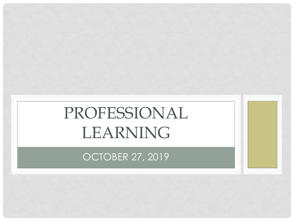# PROFESSIONAL LEARNING

OCTOBER 27, 2019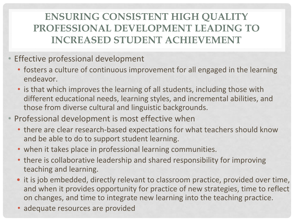#### **ENSURING CONSISTENT HIGH QUALITY PROFESSIONAL DEVELOPMENT LEADING TO INCREASED STUDENT ACHIEVEMENT**

- Effective professional development
	- fosters a culture of continuous improvement for all engaged in the learning endeavor.
	- is that which improves the learning of all students, including those with different educational needs, learning styles, and incremental abilities, and those from diverse cultural and linguistic backgrounds.
- Professional development is most effective when
	- there are clear research-based expectations for what teachers should know and be able to do to support student learning.
	- when it takes place in professional learning communities.
	- there is collaborative leadership and shared responsibility for improving teaching and learning.
	- it is job embedded, directly relevant to classroom practice, provided over time, and when it provides opportunity for practice of new strategies, time to reflect on changes, and time to integrate new learning into the teaching practice.
	- adequate resources are provided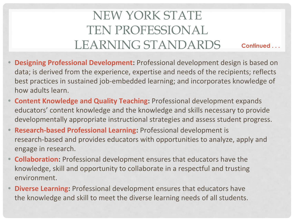#### NEW YORK STATE TEN PROFESSIONAL LEARNING STANDARDS **Continued . . .**

- **• Designing Professional Development:** Professional development design is based on data; is derived from the experience, expertise and needs of the recipients; reflects best practices in sustained job-embedded learning; and incorporates knowledge of how adults learn.
- **• Content Knowledge and Quality Teaching:** Professional development expands educators' content knowledge and the knowledge and skills necessary to provide developmentally appropriate instructional strategies and assess student progress.
- **• Research-based Professional Learning:** Professional development is research-based and provides educators with opportunities to analyze, apply and engage in research.
- **• Collaboration:** Professional development ensures that educators have the knowledge, skill and opportunity to collaborate in a respectful and trusting environment.
- **• Diverse Learning:** Professional development ensures that educators have the knowledge and skill to meet the diverse learning needs of all students.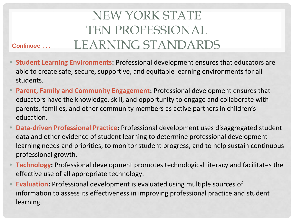#### NEW YORK STATE TEN PROFESSIONAL LEARNING STANDARDS

**• Student Learning Environments:** Professional development ensures that educators are able to create safe, secure, supportive, and equitable learning environments for all students.

**Continued . . .** 

- **• Parent, Family and Community Engagement:** Professional development ensures that educators have the knowledge, skill, and opportunity to engage and collaborate with parents, families, and other community members as active partners in children's education.
- **• Data-driven Professional Practice:** Professional development uses disaggregated student data and other evidence of student learning to determine professional development learning needs and priorities, to monitor student progress, and to help sustain continuous professional growth.
- **• Technology:** Professional development promotes technological literacy and facilitates the effective use of all appropriate technology.
- **• Evaluation:** Professional development is evaluated using multiple sources of information to assess its effectiveness in improving professional practice and student learning.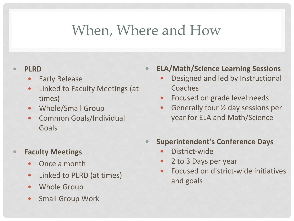### When, Where and How

#### **• PLRD**

- **Early Release**
- Linked to Faculty Meetings (at times)
- Whole/Small Group
- Common Goals/Individual Goals

#### **• Faculty Meetings**

- Once a month
- Linked to PLRD (at times)
- Whole Group
- Small Group Work

**• ELA/Math/Science Learning Sessions**

- Designed and led by Instructional Coaches
- Focused on grade level needs
- Generally four  $\frac{1}{2}$  day sessions per year for ELA and Math/Science
- **• Superintendent's Conference Days**
	- District-wide
	- 2 to 3 Days per year
	- Focused on district-wide initiatives and goals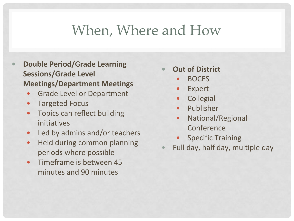### When, Where and How

- **• Double Period/Grade Learning Sessions/Grade Level Meetings/Department Meetings**
	- Grade Level or Department
	- Targeted Focus
	- Topics can reflect building initiatives
	- Led by admins and/or teachers
	- Held during common planning periods where possible
	- Timeframe is between 45 minutes and 90 minutes
- **• Out of District**
	- BOCES
	- **Expert**
	- **Collegial**
	- Publisher
	- National/Regional Conference
	- Specific Training
- Full day, half day, multiple day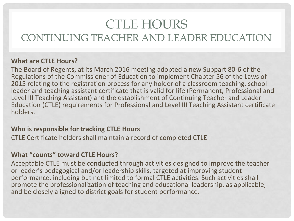#### CTLE HOURS CONTINUING TEACHER AND LEADER EDUCATION

#### **What are CTLE Hours?**

The Board of Regents, at its March 2016 meeting adopted a new Subpart 80-6 of the Regulations of the Commissioner of Education to implement Chapter 56 of the Laws of 2015 relating to the registration process for any holder of a classroom teaching, school leader and teaching assistant certificate that is valid for life (Permanent, Professional and Level III Teaching Assistant) and the establishment of Continuing Teacher and Leader Education (CTLE) requirements for Professional and Level III Teaching Assistant certificate holders.

#### **Who is responsible for tracking CTLE Hours**

CTLE Certificate holders shall maintain a record of completed CTLE

#### **What "counts" toward CTLE Hours?**

Acceptable CTLE must be conducted through activities designed to improve the teacher or leader's pedagogical and/or leadership skills, targeted at improving student performance, including but not limited to formal CTLE activities. Such activities shall promote the professionalization of teaching and educational leadership, as applicable, and be closely aligned to district goals for student performance.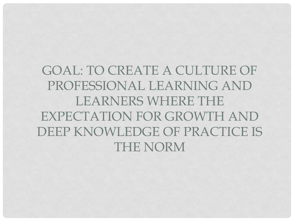GOAL: TO CREATE A CULTURE OF PROFESSIONAL LEARNING AND LEARNERS WHERE THE EXPECTATION FOR GROWTH AND DEEP KNOWLEDGE OF PRACTICE IS THE NORM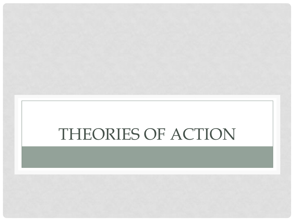# THEORIES OF ACTION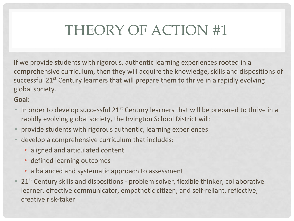# THEORY OF ACTION #1

If we provide students with rigorous, authentic learning experiences rooted in a comprehensive curriculum, then they will acquire the knowledge, skills and dispositions of successful 21<sup>st</sup> Century learners that will prepare them to thrive in a rapidly evolving global society.

#### **Goal:**

- In order to develop successful  $21^{st}$  Century learners that will be prepared to thrive in a rapidly evolving global society, the Irvington School District will:
- provide students with rigorous authentic, learning experiences
- develop a comprehensive curriculum that includes:
	- aligned and articulated content
	- defined learning outcomes
	- a balanced and systematic approach to assessment
- $\bullet$  21st Century skills and dispositions problem solver, flexible thinker, collaborative learner, effective communicator, empathetic citizen, and self-reliant, reflective, creative risk-taker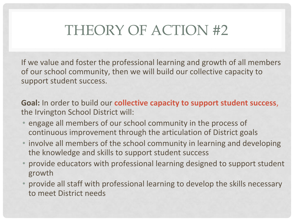## THEORY OF ACTION #2

If we value and foster the professional learning and growth of all members of our school community, then we will build our collective capacity to support student success.

**Goal:** In order to build our **collective capacity to support student success**, the Irvington School District will:

- engage all members of our school community in the process of continuous improvement through the articulation of District goals
- involve all members of the school community in learning and developing the knowledge and skills to support student success
- provide educators with professional learning designed to support student growth
- provide all staff with professional learning to develop the skills necessary to meet District needs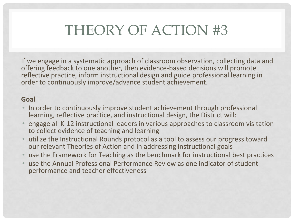## THEORY OF ACTION #3

If we engage in a systematic approach of classroom observation, collecting data and offering feedback to one another, then evidence-based decisions will promote reflective practice, inform instructional design and guide professional learning in order to continuously improve/advance student achievement.

#### **Goal**

- In order to continuously improve student achievement through professional learning, reflective practice, and instructional design, the District will:
- engage all K-12 instructional leaders in various approaches to classroom visitation to collect evidence of teaching and learning
- utilize the Instructional Rounds protocol as a tool to assess our progress toward our relevant Theories of Action and in addressing instructional goals
- use the Framework for Teaching as the benchmark for instructional best practices
- use the Annual Professional Performance Review as one indicator of student performance and teacher effectiveness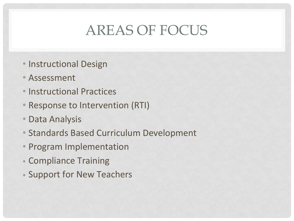## AREAS OF FOCUS

- Instructional Design
- Assessment
- Instructional Practices
- Response to Intervention (RTI)
- Data Analysis
- Standards Based Curriculum Development
- Program Implementation
- Compliance Training
- Support for New Teachers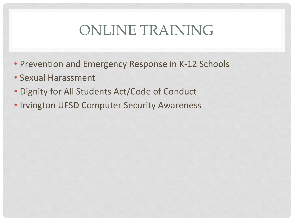## ONLINE TRAINING

- Prevention and Emergency Response in K-12 Schools
- Sexual Harassment
- Dignity for All Students Act/Code of Conduct
- Irvington UFSD Computer Security Awareness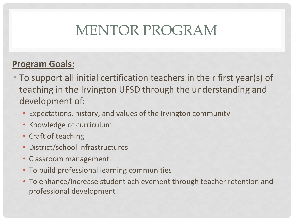# MENTOR PROGRAM

#### **Program Goals:**

- To support all initial certification teachers in their first year(s) of teaching in the Irvington UFSD through the understanding and development of:
	- Expectations, history, and values of the Irvington community
	- Knowledge of curriculum
	- Craft of teaching
	- District/school infrastructures
	- Classroom management
	- To build professional learning communities
	- To enhance/increase student achievement through teacher retention and professional development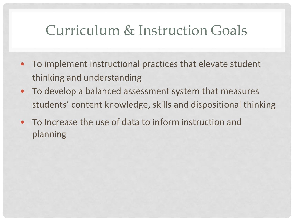### Curriculum & Instruction Goals

- To implement instructional practices that elevate student thinking and understanding
- To develop a balanced assessment system that measures students' content knowledge, skills and dispositional thinking
- To Increase the use of data to inform instruction and planning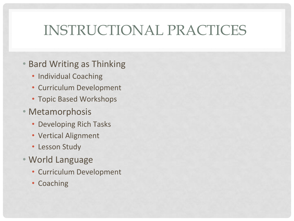# INSTRUCTIONAL PRACTICES

- Bard Writing as Thinking
	- Individual Coaching
	- Curriculum Development
	- Topic Based Workshops
- Metamorphosis
	- Developing Rich Tasks
	- Vertical Alignment
	- Lesson Study
- World Language
	- Curriculum Development
	- Coaching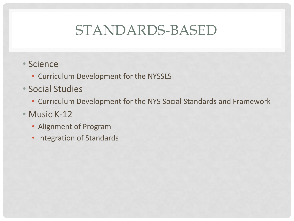## STANDARDS-BASED

- Science
	- Curriculum Development for the NYSSLS
- Social Studies
	- Curriculum Development for the NYS Social Standards and Framework
- Music K-12
	- Alignment of Program
	- Integration of Standards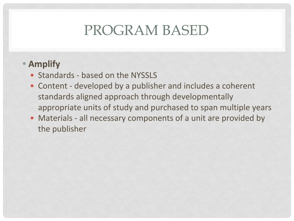### PROGRAM BASED

#### **• Amplify**

- Standards based on the NYSSLS
- Content developed by a publisher and includes a coherent standards aligned approach through developmentally appropriate units of study and purchased to span multiple years
- Materials all necessary components of a unit are provided by the publisher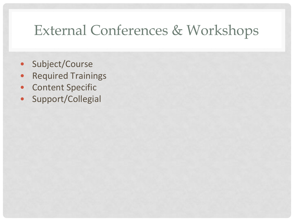## External Conferences & Workshops

- Subject/Course
- Required Trainings
- Content Specific
- Support/Collegial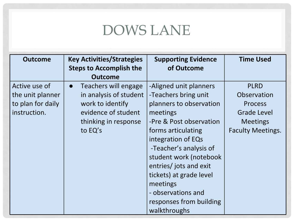# DOWS LANE

| <b>Outcome</b>    | <b>Key Activities/Strategies</b>  | <b>Supporting Evidence</b> | <b>Time Used</b>         |
|-------------------|-----------------------------------|----------------------------|--------------------------|
|                   | <b>Steps to Accomplish the</b>    | of Outcome                 |                          |
|                   | <b>Outcome</b>                    |                            |                          |
| Active use of     | Teachers will engage<br>$\bullet$ | -Aligned unit planners     | <b>PLRD</b>              |
| the unit planner  | in analysis of student            | -Teachers bring unit       | Observation              |
| to plan for daily | work to identify                  | planners to observation    | <b>Process</b>           |
| instruction.      | evidence of student               | meetings                   | <b>Grade Level</b>       |
|                   | thinking in response              | -Pre & Post observation    | <b>Meetings</b>          |
|                   | to EQ's                           | forms articulating         | <b>Faculty Meetings.</b> |
|                   |                                   | integration of EQs         |                          |
|                   |                                   | -Teacher's analysis of     |                          |
|                   |                                   | student work (notebook     |                          |
|                   |                                   | entries/jots and exit      |                          |
|                   |                                   | tickets) at grade level    |                          |
|                   |                                   | meetings                   |                          |
|                   |                                   | - observations and         |                          |
|                   |                                   | responses from building    |                          |
|                   |                                   | walkthroughs               |                          |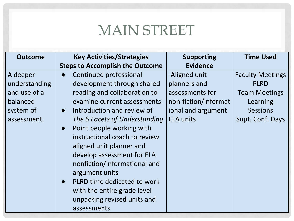### MAIN STREET

| <b>Outcome</b> | <b>Key Activities/Strategies</b>         | <b>Supporting</b>    | <b>Time Used</b>        |
|----------------|------------------------------------------|----------------------|-------------------------|
|                | <b>Steps to Accomplish the Outcome</b>   | <b>Evidence</b>      |                         |
| A deeper       | Continued professional                   | -Aligned unit        | <b>Faculty Meetings</b> |
| understanding  | development through shared               | planners and         | <b>PLRD</b>             |
| and use of a   | reading and collaboration to             | assessments for      | <b>Team Meetings</b>    |
| balanced       | examine current assessments.             | non-fiction/informat | Learning                |
| system of      | Introduction and review of<br>$\bullet$  | ional and argument   | <b>Sessions</b>         |
| assessment.    | The 6 Facets of Understanding            | <b>ELA units</b>     | Supt. Conf. Days        |
|                | Point people working with<br>$\bullet$   |                      |                         |
|                | instructional coach to review            |                      |                         |
|                | aligned unit planner and                 |                      |                         |
|                | develop assessment for ELA               |                      |                         |
|                | nonfiction/informational and             |                      |                         |
|                | argument units                           |                      |                         |
|                | PLRD time dedicated to work<br>$\bullet$ |                      |                         |
|                | with the entire grade level              |                      |                         |
|                | unpacking revised units and              |                      |                         |
|                | assessments                              |                      |                         |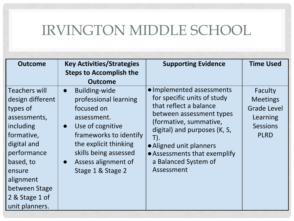## IRVINGTON MIDDLE SCHOOL

| <b>Outcome</b>                                                                                                                                                                                                  | <b>Key Activities/Strategies</b><br><b>Steps to Accomplish the</b><br><b>Outcome</b>                                                                                                                                                                          | <b>Supporting Evidence</b>                                                                                                                                                                                                                                                       | <b>Time Used</b>                                                                               |
|-----------------------------------------------------------------------------------------------------------------------------------------------------------------------------------------------------------------|---------------------------------------------------------------------------------------------------------------------------------------------------------------------------------------------------------------------------------------------------------------|----------------------------------------------------------------------------------------------------------------------------------------------------------------------------------------------------------------------------------------------------------------------------------|------------------------------------------------------------------------------------------------|
| Teachers will<br>design different<br>types of<br>assessments,<br>including<br>formative,<br>digital and<br>performance<br>based, to<br>ensure<br>alignment<br>between Stage<br>2 & Stage 1 of<br>unit planners. | <b>Building-wide</b><br>$\bullet$<br>professional learning<br>focused on<br>assessment.<br>Use of cognitive<br>$\bullet$<br>frameworks to identify<br>the explicit thinking<br>skills being assessed<br>Assess alignment of<br>$\bullet$<br>Stage 1 & Stage 2 | • Implemented assessments<br>for specific units of study<br>that reflect a balance<br>between assessment types<br>(formative, summative,<br>digital) and purposes (K, S,<br>T).<br>• Aligned unit planners<br>• Assessments that exemplify<br>a Balanced System of<br>Assessment | Faculty<br><b>Meetings</b><br><b>Grade Level</b><br>Learning<br><b>Sessions</b><br><b>PLRD</b> |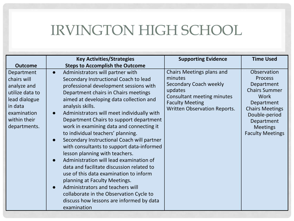### IRVINGTON HIGH SCHOOL

|                                                                                                                                        | <b>Key Activities/Strategies</b>                                                                                                                                                                                                                                                                                                                                                                                                                                                                                                                                                                                                                                                                                                                                                                                                                                                      | <b>Supporting Evidence</b>                                                                                                                                                      | <b>Time Used</b>                                                                                                                                                                                 |
|----------------------------------------------------------------------------------------------------------------------------------------|---------------------------------------------------------------------------------------------------------------------------------------------------------------------------------------------------------------------------------------------------------------------------------------------------------------------------------------------------------------------------------------------------------------------------------------------------------------------------------------------------------------------------------------------------------------------------------------------------------------------------------------------------------------------------------------------------------------------------------------------------------------------------------------------------------------------------------------------------------------------------------------|---------------------------------------------------------------------------------------------------------------------------------------------------------------------------------|--------------------------------------------------------------------------------------------------------------------------------------------------------------------------------------------------|
| <b>Outcome</b>                                                                                                                         | <b>Steps to Accomplish the Outcome</b>                                                                                                                                                                                                                                                                                                                                                                                                                                                                                                                                                                                                                                                                                                                                                                                                                                                |                                                                                                                                                                                 |                                                                                                                                                                                                  |
| Department<br>chairs will<br>analyze and<br>utilize data to<br>lead dialogue<br>in data<br>examination<br>within their<br>departments. | Administrators will partner with<br>$\bullet$<br>Secondary Instructional Coach to lead<br>professional development sessions with<br>Department chairs in Chairs meetings<br>aimed at developing data collection and<br>analysis skills.<br>Administrators will meet individually with<br>$\bullet$<br>Department Chairs to support department<br>work in examining data and connecting it<br>to individual teachers' planning.<br>Secondary Instructional Coach will partner<br>with consultants to support data-informed<br>lesson planning with teachers.<br>Administration will lead examination of<br>data and facilitate discussion related to<br>use of this data examination to inform<br>planning at Faculty Meetings.<br>Administrators and teachers will<br>$\bullet$<br>collaborate in the Observation Cycle to<br>discuss how lessons are informed by data<br>examination | Chairs Meetings plans and<br>minutes<br><b>Secondary Coach weekly</b><br>updates<br>Consultant meeting minutes<br><b>Faculty Meeting</b><br><b>Written Observation Reports.</b> | Observation<br><b>Process</b><br>Department<br><b>Chairs Summer</b><br>Work<br>Department<br><b>Chairs Meetings</b><br>Double-period<br>Department<br><b>Meetings</b><br><b>Faculty Meetings</b> |